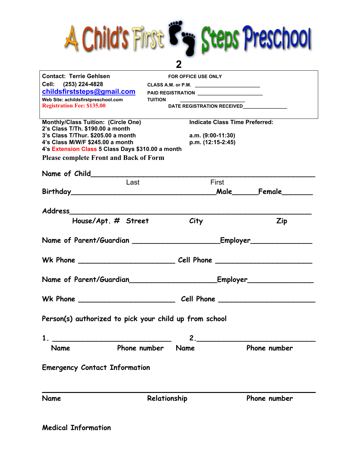

| <b>Contact: Terrie Gehlsen</b>                                           |                     | <b>FOR OFFICE USE ONLY</b>                                                       |                                                                                                                                                                                                                                |
|--------------------------------------------------------------------------|---------------------|----------------------------------------------------------------------------------|--------------------------------------------------------------------------------------------------------------------------------------------------------------------------------------------------------------------------------|
| Cell: (253) 224-4828                                                     |                     | CLASS A.M. or P.M. _________________________                                     |                                                                                                                                                                                                                                |
| childsfirststeps@gmail.com                                               |                     | PAID REGISTRATION ___________________________                                    |                                                                                                                                                                                                                                |
| Web Site: achildsfirstpreschool.com<br><b>Registration Fee: \$135.00</b> | <b>TUITION</b>      |                                                                                  | DATE REGISTRATION RECEIVED______________                                                                                                                                                                                       |
|                                                                          |                     |                                                                                  |                                                                                                                                                                                                                                |
| Monthly/Class Tuition: (Circle One)                                      |                     |                                                                                  | <b>Indicate Class Time Preferred:</b>                                                                                                                                                                                          |
| 2's Class T/Th. \$190.00 a month<br>3's Class T/Thur. \$205.00 a month   |                     | a.m. $(9:00-11:30)$                                                              |                                                                                                                                                                                                                                |
| 4's Class M/W/F \$245.00 a month                                         |                     | p.m. (12:15-2:45)                                                                |                                                                                                                                                                                                                                |
| 4's Extension Class 5 Class Days \$310.00 a month                        |                     |                                                                                  |                                                                                                                                                                                                                                |
| <b>Please complete Front and Back of Form</b>                            |                     |                                                                                  |                                                                                                                                                                                                                                |
|                                                                          |                     |                                                                                  | Name of Child Committee Committee Children and Children and Children and Children and Children and Children and Children and Children and Children and Children and Children and Children and Children and Children and Childr |
|                                                                          | Last                | First                                                                            |                                                                                                                                                                                                                                |
|                                                                          |                     |                                                                                  | Birthday Female Particle of Male Pemale                                                                                                                                                                                        |
|                                                                          |                     |                                                                                  |                                                                                                                                                                                                                                |
| Address                                                                  |                     |                                                                                  |                                                                                                                                                                                                                                |
|                                                                          | House/Apt. # Street | <i>City</i>                                                                      | <b>Zip</b>                                                                                                                                                                                                                     |
|                                                                          |                     |                                                                                  |                                                                                                                                                                                                                                |
|                                                                          |                     |                                                                                  |                                                                                                                                                                                                                                |
|                                                                          |                     |                                                                                  |                                                                                                                                                                                                                                |
|                                                                          |                     |                                                                                  |                                                                                                                                                                                                                                |
|                                                                          |                     | Name of Parent/Guardian__________________________Employer_______________________ |                                                                                                                                                                                                                                |
|                                                                          |                     |                                                                                  |                                                                                                                                                                                                                                |
|                                                                          |                     |                                                                                  |                                                                                                                                                                                                                                |
|                                                                          |                     |                                                                                  |                                                                                                                                                                                                                                |
| Person(s) authorized to pick your child up from school                   |                     |                                                                                  |                                                                                                                                                                                                                                |
|                                                                          |                     |                                                                                  |                                                                                                                                                                                                                                |
| 1                                                                        |                     |                                                                                  |                                                                                                                                                                                                                                |
| Name                                                                     | Phone number        | Name                                                                             | Phone number                                                                                                                                                                                                                   |
|                                                                          |                     |                                                                                  |                                                                                                                                                                                                                                |
| <b>Emergency Contact Information</b>                                     |                     |                                                                                  |                                                                                                                                                                                                                                |
|                                                                          |                     |                                                                                  |                                                                                                                                                                                                                                |
|                                                                          |                     |                                                                                  |                                                                                                                                                                                                                                |
| <b>Name</b>                                                              | Relationship        |                                                                                  | Phone number                                                                                                                                                                                                                   |
|                                                                          |                     |                                                                                  |                                                                                                                                                                                                                                |